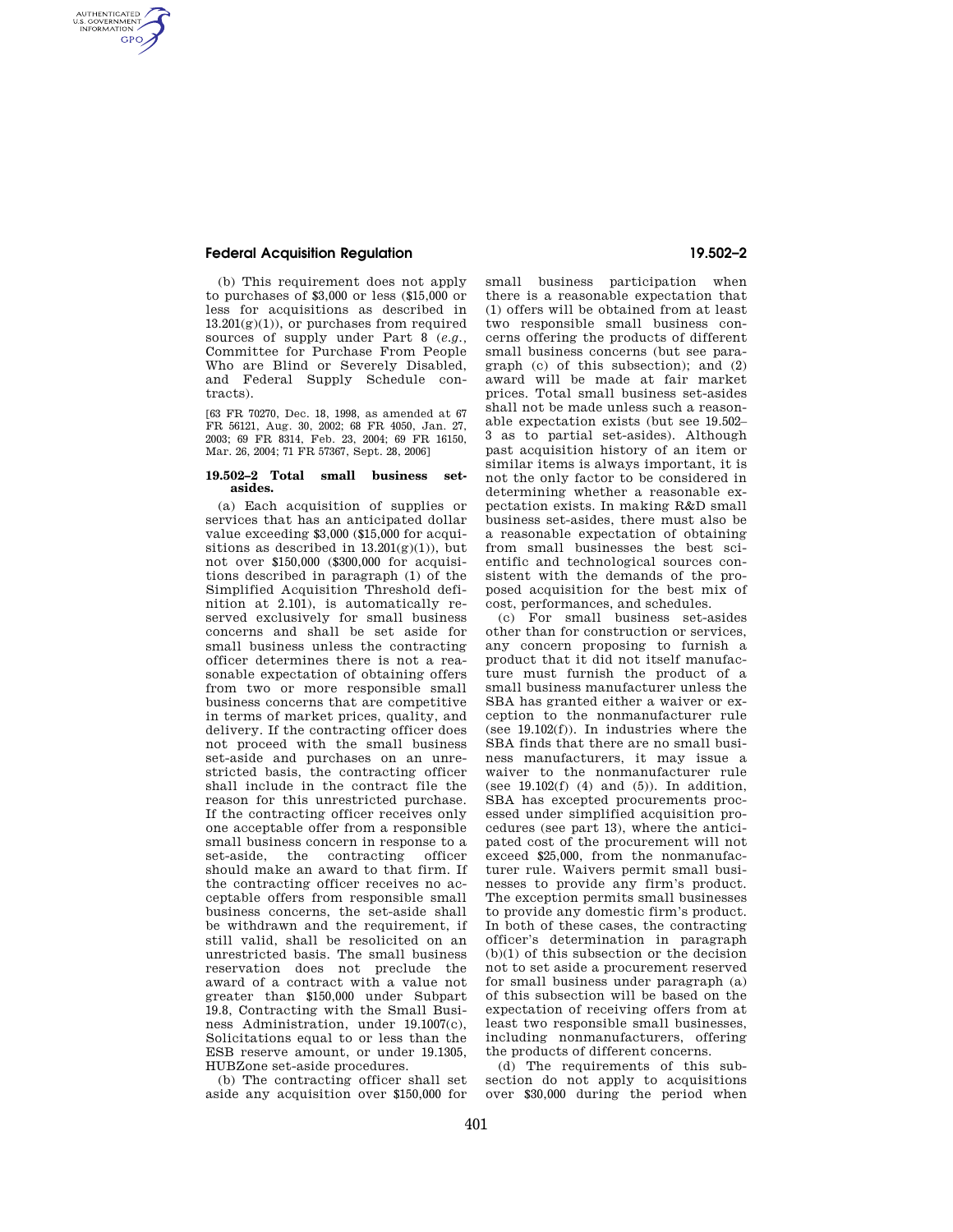## **Federal Acquisition Regulation 19.502–2**

AUTHENTICATED<br>U.S. GOVERNMENT<br>INFORMATION **GPO** 

> (b) This requirement does not apply to purchases of \$3,000 or less (\$15,000 or less for acquisitions as described in  $13.201(g)(1)$ , or purchases from required sources of supply under Part 8 (*e.g.,*  Committee for Purchase From People Who are Blind or Severely Disabled, and Federal Supply Schedule contracts).

> [63 FR 70270, Dec. 18, 1998, as amended at 67 FR 56121, Aug. 30, 2002; 68 FR 4050, Jan. 27, 2003; 69 FR 8314, Feb. 23, 2004; 69 FR 16150, Mar. 26, 2004; 71 FR 57367, Sept. 28, 2006]

## **19.502–2 Total small business setasides.**

(a) Each acquisition of supplies or services that has an anticipated dollar value exceeding \$3,000 (\$15,000 for acquisitions as described in  $13.201(g)(1)$ , but not over \$150,000 (\$300,000 for acquisitions described in paragraph (1) of the Simplified Acquisition Threshold definition at 2.101), is automatically reserved exclusively for small business concerns and shall be set aside for small business unless the contracting officer determines there is not a reasonable expectation of obtaining offers from two or more responsible small business concerns that are competitive in terms of market prices, quality, and delivery. If the contracting officer does not proceed with the small business set-aside and purchases on an unrestricted basis, the contracting officer shall include in the contract file the reason for this unrestricted purchase. If the contracting officer receives only one acceptable offer from a responsible small business concern in response to a set-aside, the contracting officer should make an award to that firm. If the contracting officer receives no acceptable offers from responsible small business concerns, the set-aside shall be withdrawn and the requirement, if still valid, shall be resolicited on an unrestricted basis. The small business reservation does not preclude the award of a contract with a value not greater than \$150,000 under Subpart 19.8, Contracting with the Small Business Administration, under 19.1007(c), Solicitations equal to or less than the ESB reserve amount, or under 19.1305, HUBZone set-aside procedures.

(b) The contracting officer shall set aside any acquisition over \$150,000 for

small business participation when there is a reasonable expectation that (1) offers will be obtained from at least two responsible small business concerns offering the products of different small business concerns (but see paragraph (c) of this subsection); and (2) award will be made at fair market prices. Total small business set-asides shall not be made unless such a reasonable expectation exists (but see 19.502– 3 as to partial set-asides). Although past acquisition history of an item or similar items is always important, it is not the only factor to be considered in determining whether a reasonable expectation exists. In making R&D small business set-asides, there must also be a reasonable expectation of obtaining from small businesses the best scientific and technological sources consistent with the demands of the proposed acquisition for the best mix of cost, performances, and schedules.

(c) For small business set-asides other than for construction or services, any concern proposing to furnish a product that it did not itself manufacture must furnish the product of a small business manufacturer unless the SBA has granted either a waiver or exception to the nonmanufacturer rule (see 19.102(f)). In industries where the SBA finds that there are no small business manufacturers, it may issue a waiver to the nonmanufacturer rule (see  $19.102(f)$  (4) and (5)). In addition, SBA has excepted procurements processed under simplified acquisition procedures (see part 13), where the anticipated cost of the procurement will not exceed \$25,000, from the nonmanufacturer rule. Waivers permit small businesses to provide any firm's product. The exception permits small businesses to provide any domestic firm's product. In both of these cases, the contracting officer's determination in paragraph (b)(1) of this subsection or the decision not to set aside a procurement reserved for small business under paragraph (a) of this subsection will be based on the expectation of receiving offers from at least two responsible small businesses, including nonmanufacturers, offering the products of different concerns.

(d) The requirements of this subsection do not apply to acquisitions over \$30,000 during the period when